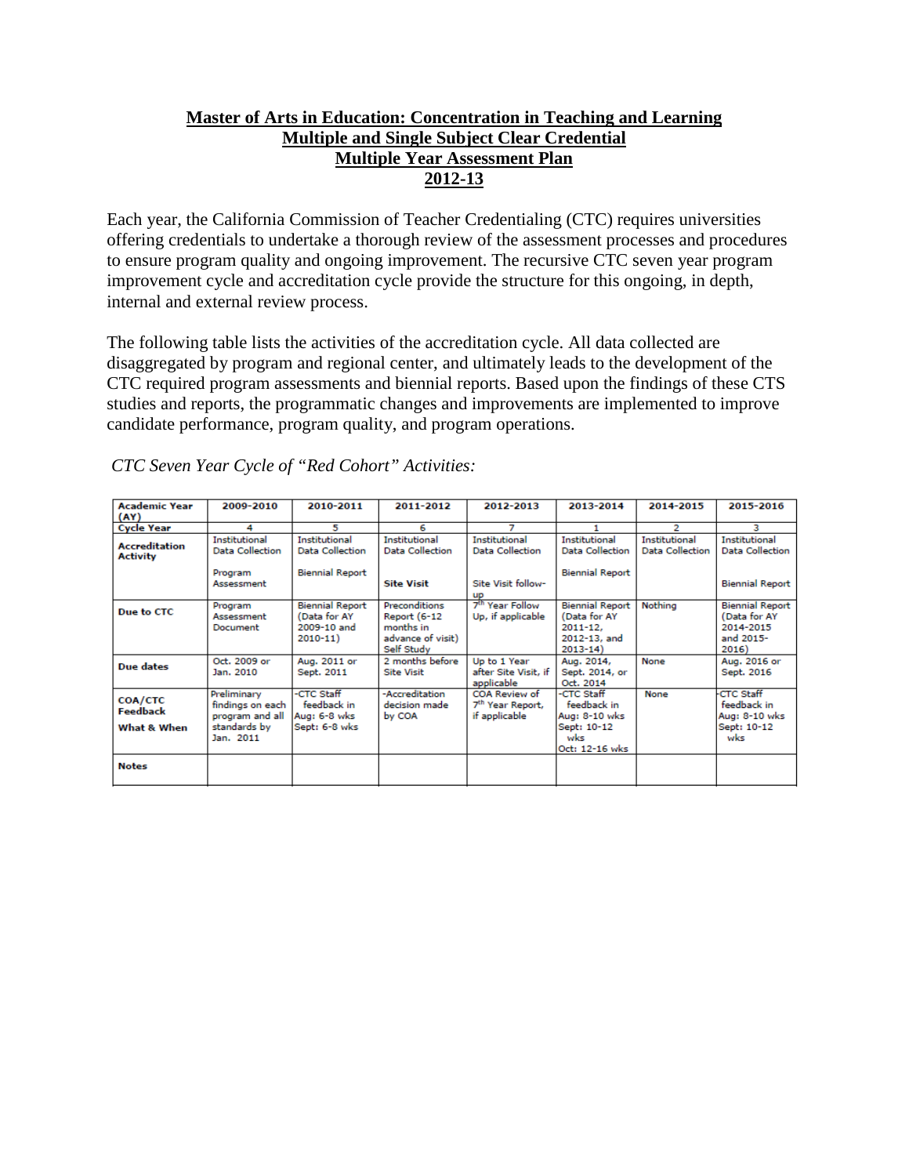## **Master of Arts in Education: Concentration in Teaching and Learning Multiple and Single Subject Clear Credential Multiple Year Assessment Plan 2012-13**

Each year, the California Commission of Teacher Credentialing (CTC) requires universities offering credentials to undertake a thorough review of the assessment processes and procedures to ensure program quality and ongoing improvement. The recursive CTC seven year program improvement cycle and accreditation cycle provide the structure for this ongoing, in depth, internal and external review process.

The following table lists the activities of the accreditation cycle. All data collected are disaggregated by program and regional center, and ultimately leads to the development of the CTC required program assessments and biennial reports. Based upon the findings of these CTS studies and reports, the programmatic changes and improvements are implemented to improve candidate performance, program quality, and program operations.

| <b>Academic Year</b>                    | 2009-2010                                                                       | 2010-2011                                                            | 2011-2012                                                                     | 2012-2013                                                      | 2013-2014                                                                            | 2014-2015                                      | 2015-2016                                                                 |
|-----------------------------------------|---------------------------------------------------------------------------------|----------------------------------------------------------------------|-------------------------------------------------------------------------------|----------------------------------------------------------------|--------------------------------------------------------------------------------------|------------------------------------------------|---------------------------------------------------------------------------|
| (AY)                                    |                                                                                 |                                                                      |                                                                               |                                                                |                                                                                      |                                                |                                                                           |
| <b>Cycle Year</b>                       | 4                                                                               | 5                                                                    | 6                                                                             | 7                                                              |                                                                                      | 2                                              | з                                                                         |
| <b>Accreditation</b><br><b>Activity</b> | Institutional<br>Data Collection                                                | <b>Institutional</b><br>Data Collection                              | Institutional<br>Data Collection                                              | <b>Institutional</b><br>Data Collection                        | Institutional<br><b>Data Collection</b>                                              | <b>Institutional</b><br><b>Data Collection</b> | Institutional<br><b>Data Collection</b>                                   |
|                                         | Program<br>Assessment                                                           | <b>Biennial Report</b>                                               | <b>Site Visit</b>                                                             | Site Visit follow-<br>up                                       | <b>Biennial Report</b>                                                               |                                                | <b>Biennial Report</b>                                                    |
| Due to CTC                              | Program<br>Assessment<br>Document                                               | <b>Biennial Report</b><br>(Data for AY<br>2009-10 and<br>$2010 - 11$ | Preconditions<br>Report (6-12<br>months in<br>advance of visit)<br>Self Study | 7 <sup>th</sup> Year Follow<br>Up, if applicable               | <b>Biennial Report</b><br>(Data for AY<br>$2011 - 12$<br>2012-13, and<br>$2013 - 14$ | Nothing                                        | <b>Biennial Report</b><br>(Data for AY<br>2014-2015<br>and 2015-<br>2016) |
| Due dates                               | Oct. 2009 or<br>Jan. 2010                                                       | Aug. 2011 or<br>Sept. 2011                                           | 2 months before<br><b>Site Visit</b>                                          | Up to 1 Year<br>after Site Visit, if<br>applicable             | Aug. 2014,<br>Sept. 2014, or<br>Oct. 2014                                            | None                                           | Aug. 2016 or<br>Sept. 2016                                                |
| COA/CTC<br>Feedback<br>What & When      | Preliminary<br>findings on each<br>program and all<br>standards by<br>Jan. 2011 | -CTC Staff<br>feedback in<br>Aug: 6-8 wks<br>Sept: 6-8 wks           | -Accreditation<br>decision made<br>by COA                                     | COA Review of<br>7 <sup>th</sup> Year Report,<br>if applicable | -CTC Staff<br>feedback in<br>Aug: 8-10 wks<br>Sept: 10-12<br>wks<br>Oct: 12-16 wks   | None                                           | <b>CTC Staff</b><br>feedback in<br>Aug: 8-10 wks<br>Sept: 10-12<br>wks    |
| <b>Notes</b>                            |                                                                                 |                                                                      |                                                                               |                                                                |                                                                                      |                                                |                                                                           |

*CTC Seven Year Cycle of "Red Cohort" Activities:*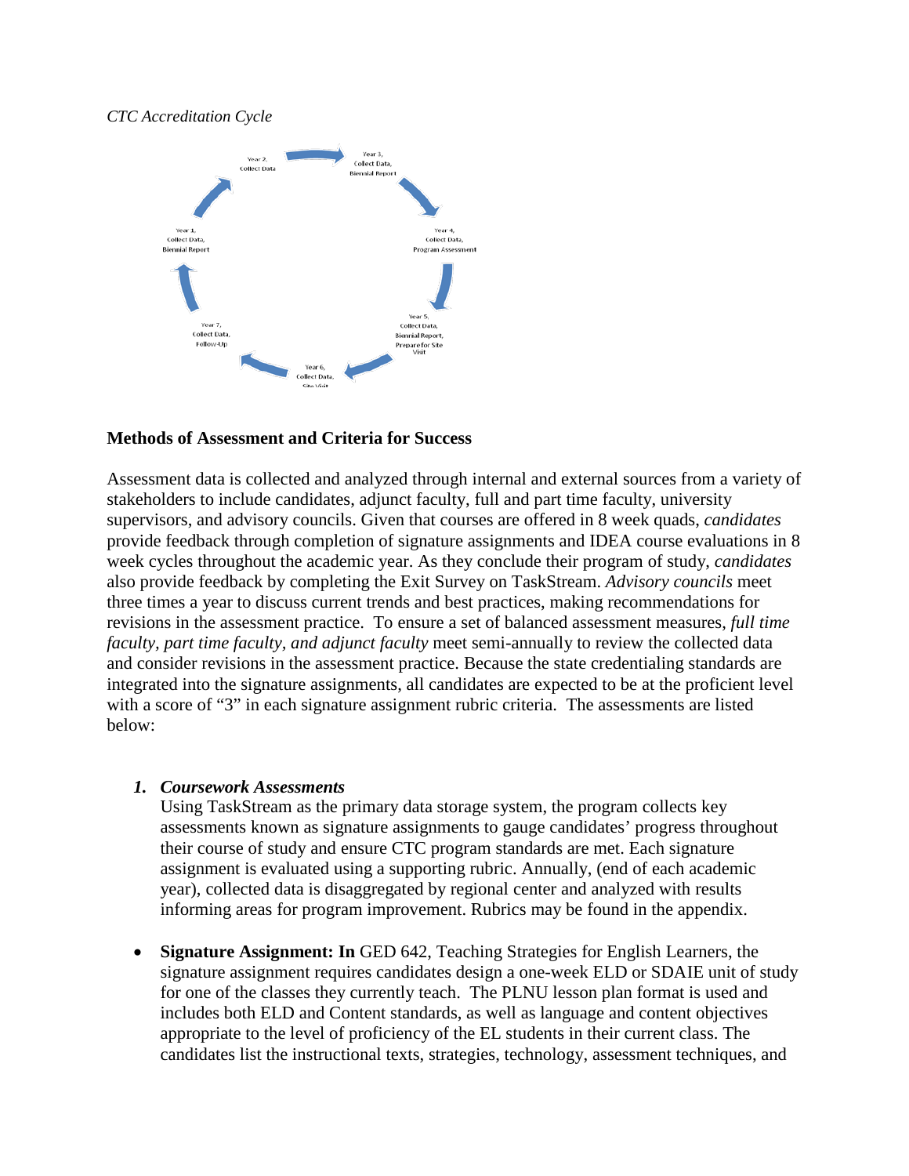#### *CTC Accreditation Cycle*



#### **Methods of Assessment and Criteria for Success**

Assessment data is collected and analyzed through internal and external sources from a variety of stakeholders to include candidates, adjunct faculty, full and part time faculty, university supervisors, and advisory councils. Given that courses are offered in 8 week quads, *candidates* provide feedback through completion of signature assignments and IDEA course evaluations in 8 week cycles throughout the academic year. As they conclude their program of study, *candidates* also provide feedback by completing the Exit Survey on TaskStream. *Advisory councils* meet three times a year to discuss current trends and best practices, making recommendations for revisions in the assessment practice. To ensure a set of balanced assessment measures, *full time faculty, part time faculty, and adjunct faculty* meet semi-annually to review the collected data and consider revisions in the assessment practice. Because the state credentialing standards are integrated into the signature assignments, all candidates are expected to be at the proficient level with a score of "3" in each signature assignment rubric criteria. The assessments are listed below:

#### *1. Coursework Assessments*

Using TaskStream as the primary data storage system, the program collects key assessments known as signature assignments to gauge candidates' progress throughout their course of study and ensure CTC program standards are met. Each signature assignment is evaluated using a supporting rubric. Annually, (end of each academic year), collected data is disaggregated by regional center and analyzed with results informing areas for program improvement. Rubrics may be found in the appendix.

• **Signature Assignment: In** GED 642, Teaching Strategies for English Learners, the signature assignment requires candidates design a one-week ELD or SDAIE unit of study for one of the classes they currently teach. The PLNU lesson plan format is used and includes both ELD and Content standards, as well as language and content objectives appropriate to the level of proficiency of the EL students in their current class. The candidates list the instructional texts, strategies, technology, assessment techniques, and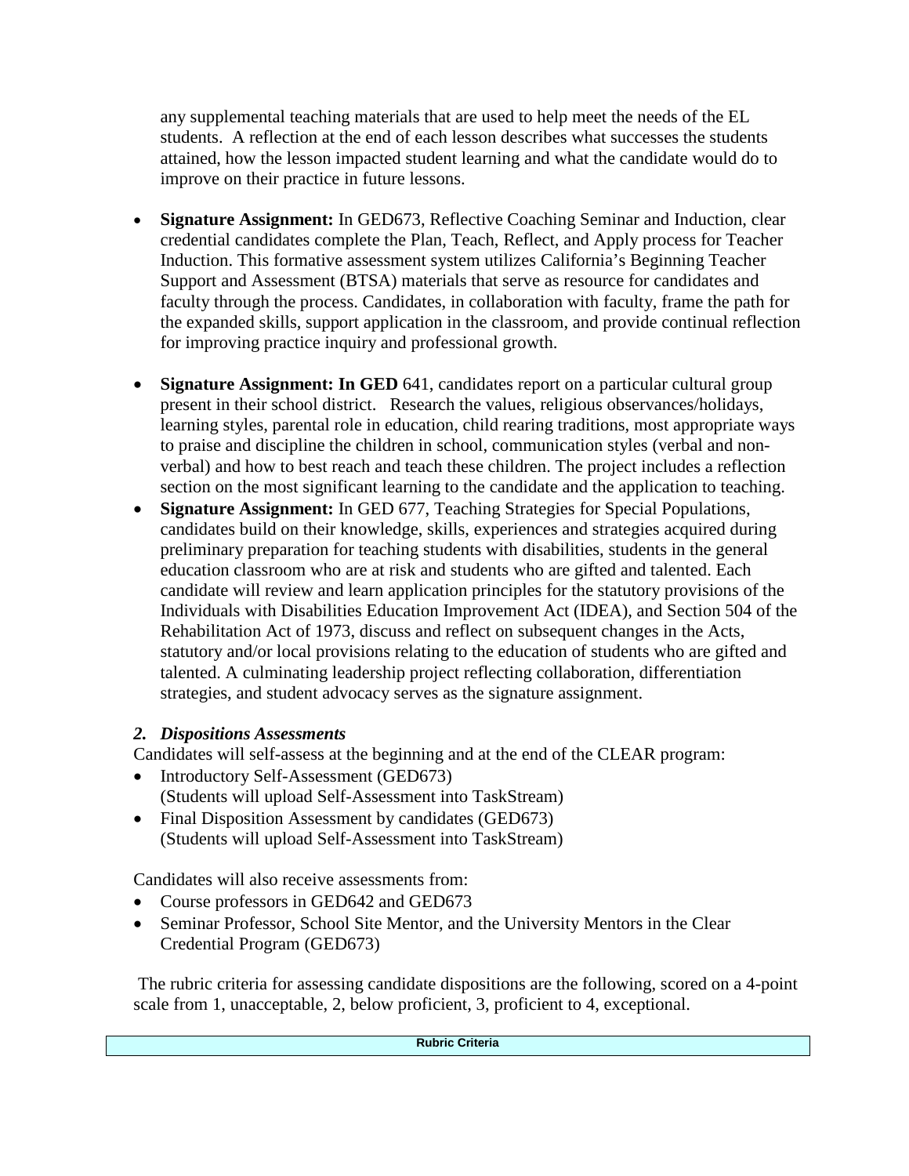any supplemental teaching materials that are used to help meet the needs of the EL students. A reflection at the end of each lesson describes what successes the students attained, how the lesson impacted student learning and what the candidate would do to improve on their practice in future lessons.

- **Signature Assignment:** In GED673, Reflective Coaching Seminar and Induction, clear credential candidates complete the Plan, Teach, Reflect, and Apply process for Teacher Induction. This formative assessment system utilizes California's Beginning Teacher Support and Assessment (BTSA) materials that serve as resource for candidates and faculty through the process. Candidates, in collaboration with faculty, frame the path for the expanded skills, support application in the classroom, and provide continual reflection for improving practice inquiry and professional growth.
- **Signature Assignment: In GED** 641, candidates report on a particular cultural group present in their school district. Research the values, religious observances/holidays, learning styles, parental role in education, child rearing traditions, most appropriate ways to praise and discipline the children in school, communication styles (verbal and nonverbal) and how to best reach and teach these children. The project includes a reflection section on the most significant learning to the candidate and the application to teaching.
- **Signature Assignment:** In GED 677, Teaching Strategies for Special Populations, candidates build on their knowledge, skills, experiences and strategies acquired during preliminary preparation for teaching students with disabilities, students in the general education classroom who are at risk and students who are gifted and talented. Each candidate will review and learn application principles for the statutory provisions of the Individuals with Disabilities Education Improvement Act (IDEA), and Section 504 of the Rehabilitation Act of 1973, discuss and reflect on subsequent changes in the Acts, statutory and/or local provisions relating to the education of students who are gifted and talented. A culminating leadership project reflecting collaboration, differentiation strategies, and student advocacy serves as the signature assignment.

# *2. Dispositions Assessments*

Candidates will self-assess at the beginning and at the end of the CLEAR program:

- Introductory Self-Assessment (GED673) (Students will upload Self-Assessment into TaskStream)
- Final Disposition Assessment by candidates (GED673) (Students will upload Self-Assessment into TaskStream)

Candidates will also receive assessments from:

- Course professors in GED642 and GED673
- Seminar Professor, School Site Mentor, and the University Mentors in the Clear Credential Program (GED673)

The rubric criteria for assessing candidate dispositions are the following, scored on a 4-point scale from 1, unacceptable, 2, below proficient, 3, proficient to 4, exceptional.

**Rubric Criteria**